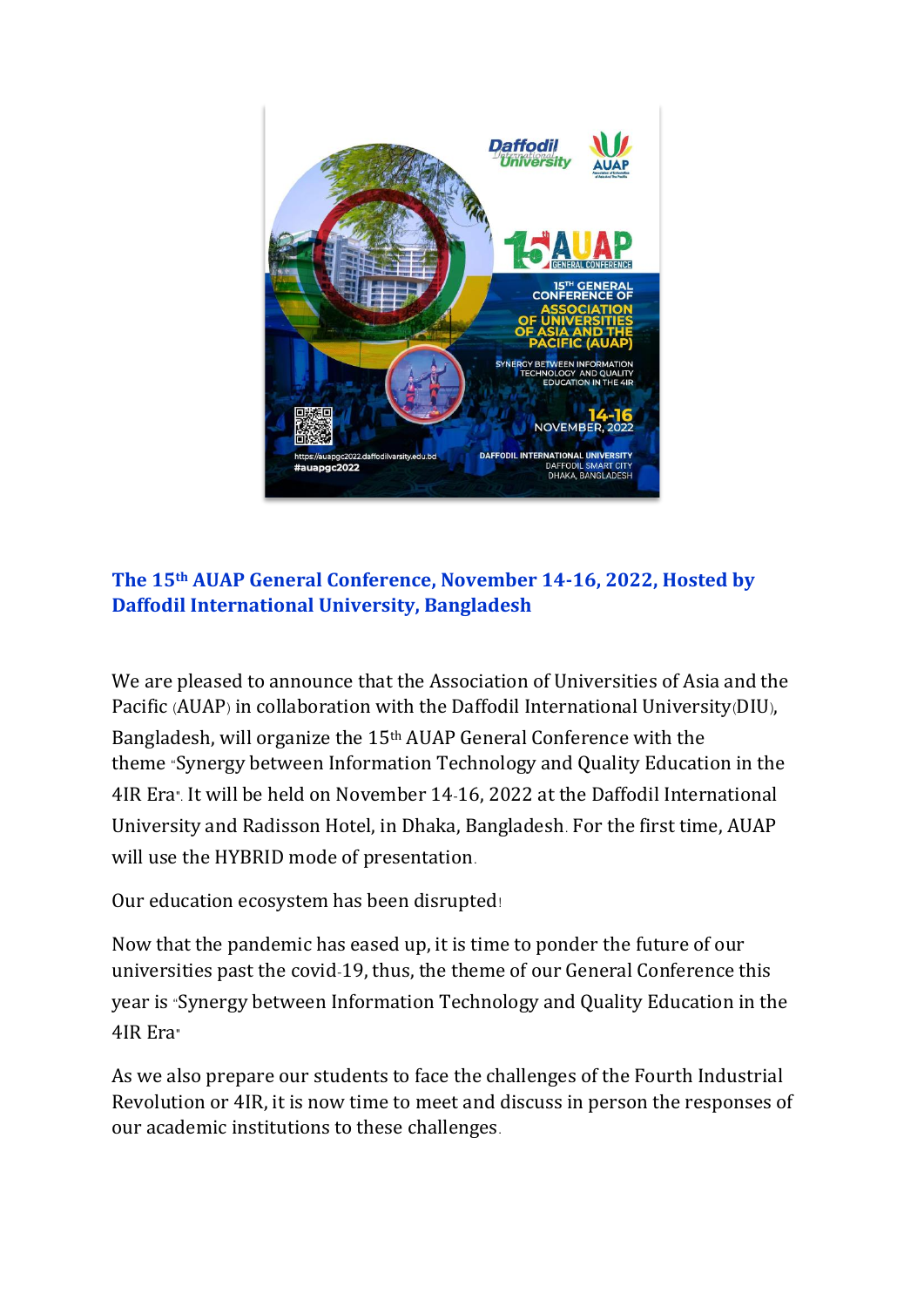

## **The 15th AUAP General Conference, November 14-16, 2022, Hosted by Daffodil International University, Bangladesh**

We are pleased to announce that the Association of Universities of Asia and the Pacific (AUAP) in collaboration with the Daffodil International University(DIU), Bangladesh, will organize the 15th AUAP General Conference with the theme "Synergy between Information Technology and Quality Education in the 4IR Era". It will be held on November 14-16, 2022 at the Daffodil International University and Radisson Hotel, in Dhaka, Bangladesh. For the first time, AUAP will use the HYBRID mode of presentation.

Our education ecosystem has been disrupted!

Now that the pandemic has eased up, it is time to ponder the future of our universities past the covid-19, thus, the theme of our General Conference this year is "Synergy between Information Technology and Quality Education in the 4IR Era"

As we also prepare our students to face the challenges of the Fourth Industrial Revolution or 4IR, it is now time to meet and discuss in person the responses of our academic institutions to these challenges.